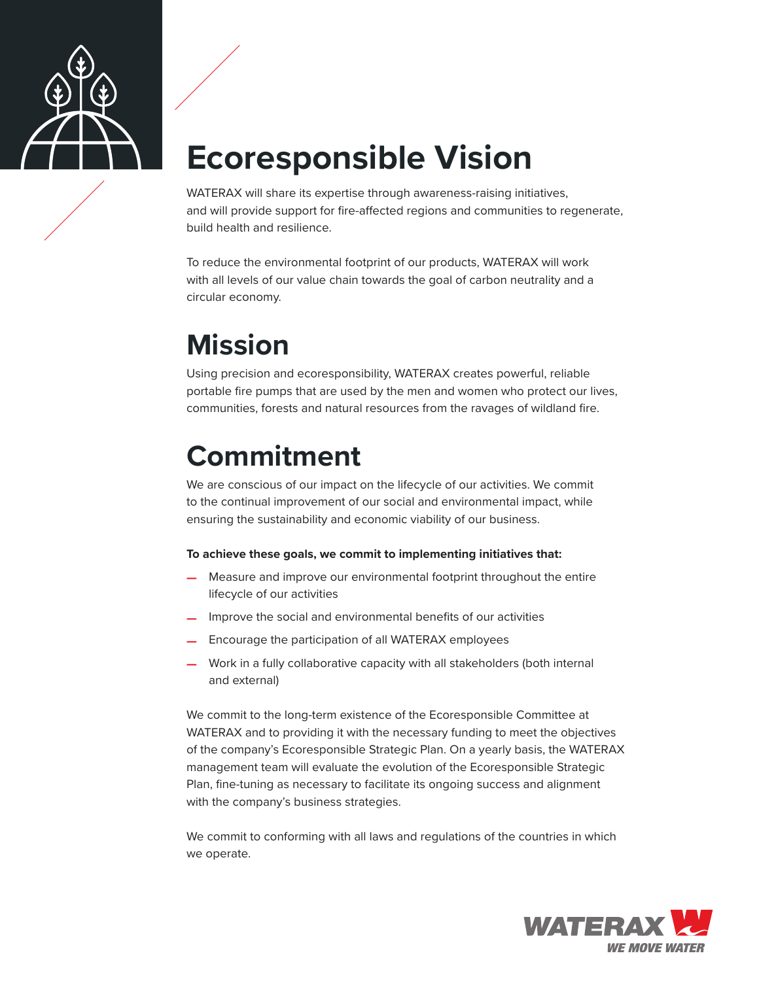

# **Ecoresponsible Vision**

WATERAX will share its expertise through awareness-raising initiatives, and will provide support for fire-affected regions and communities to regenerate, build health and resilience.

To reduce the environmental footprint of our products, WATERAX will work with all levels of our value chain towards the goal of carbon neutrality and a circular economy.

### **Mission**

Using precision and ecoresponsibility, WATERAX creates powerful, reliable portable fire pumps that are used by the men and women who protect our lives, communities, forests and natural resources from the ravages of wildland fire.

## **Commitment**

We are conscious of our impact on the lifecycle of our activities. We commit to the continual improvement of our social and environmental impact, while ensuring the sustainability and economic viability of our business.

#### **To achieve these goals, we commit to implementing initiatives that:**

- **—** Measure and improve our environmental footprint throughout the entire lifecycle of our activities
- **—** Improve the social and environmental benefits of our activities
- **—** Encourage the participation of all WATERAX employees
- **—** Work in a fully collaborative capacity with all stakeholders (both internal and external)

We commit to the long-term existence of the Ecoresponsible Committee at WATERAX and to providing it with the necessary funding to meet the objectives of the company's Ecoresponsible Strategic Plan. On a yearly basis, the WATERAX management team will evaluate the evolution of the Ecoresponsible Strategic Plan, fine-tuning as necessary to facilitate its ongoing success and alignment with the company's business strategies.

We commit to conforming with all laws and regulations of the countries in which we operate.